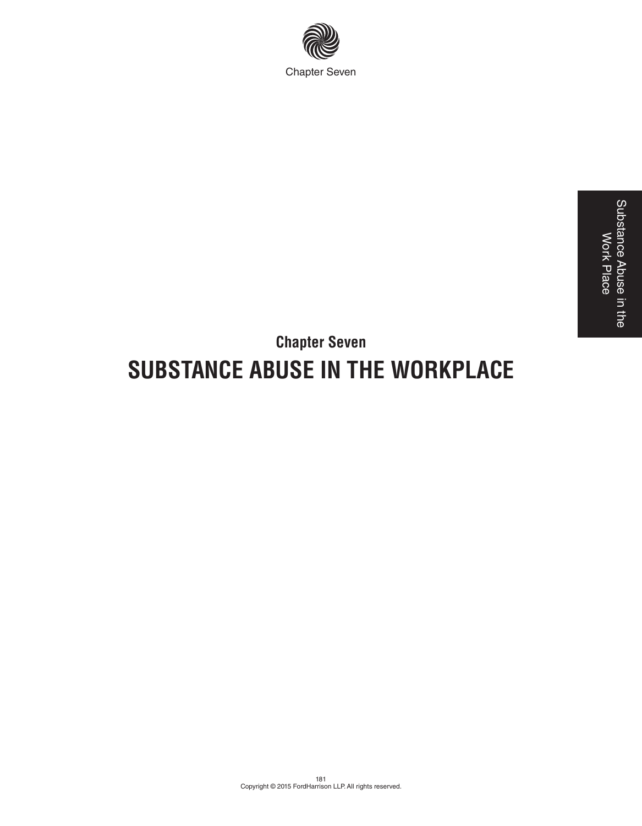

## **Chapter Seven SUBSTANCE ABUSE IN THE WORKPLACE**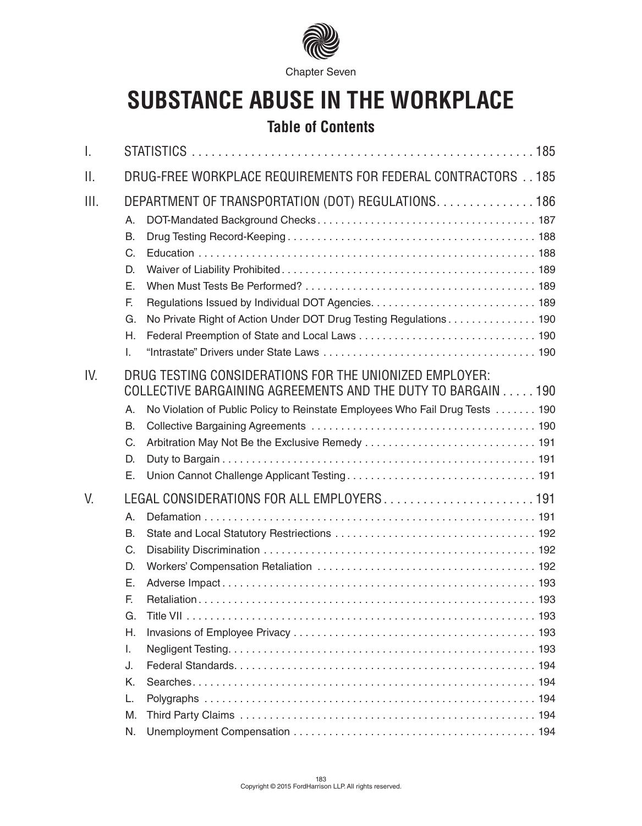

# **SUBSTANCE ABUSE IN THE WORKPLACE**

## **Table of Contents**

| I.                                                                                     |                                                                                                                                                                                                         |  |
|----------------------------------------------------------------------------------------|---------------------------------------------------------------------------------------------------------------------------------------------------------------------------------------------------------|--|
| Ш.                                                                                     | DRUG-FREE WORKPLACE REQUIREMENTS FOR FEDERAL CONTRACTORS 185                                                                                                                                            |  |
| III.<br>Α.<br>B.<br>C.<br>D.<br>Е.<br>E.<br>G.<br>Η.<br>I.                             | DEPARTMENT OF TRANSPORTATION (DOT) REGULATIONS. 186<br>No Private Right of Action Under DOT Drug Testing Regulations 190                                                                                |  |
| IV.<br>Α.<br>B.<br>C.<br>D.<br>Е.                                                      | DRUG TESTING CONSIDERATIONS FOR THE UNIONIZED EMPLOYER:<br>COLLECTIVE BARGAINING AGREEMENTS AND THE DUTY TO BARGAIN 190<br>No Violation of Public Policy to Reinstate Employees Who Fail Drug Tests 190 |  |
| V.<br>Α.<br>B.<br>C.<br>D.<br>Е.<br>F.<br>G.<br>Η.<br>I.<br>J.<br>Κ.<br>L.<br>M.<br>N. | LEGAL CONSIDERATIONS FOR ALL EMPLOYERS 191                                                                                                                                                              |  |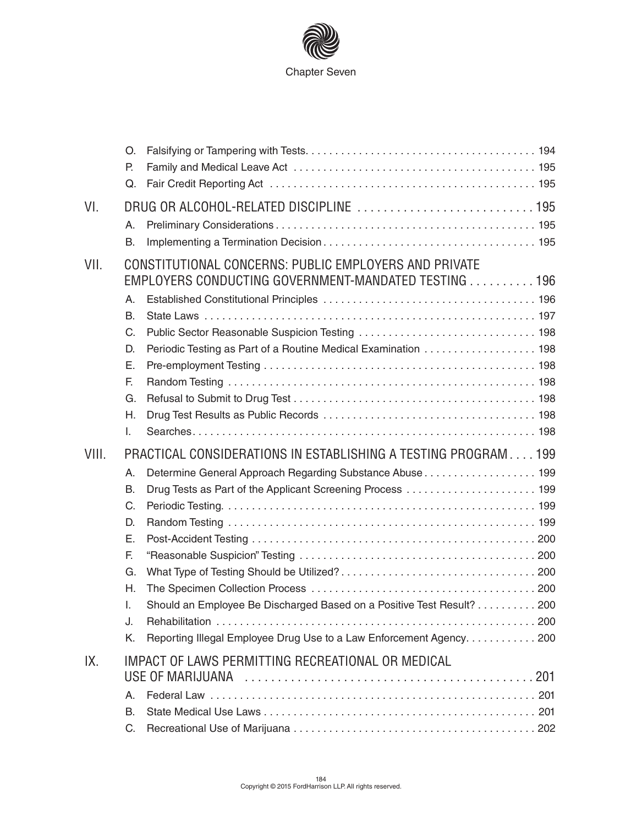

|       | O.<br>Р.<br>Q.                                                 |                                                                                                                                                                                                                                                                                                                                          |  |
|-------|----------------------------------------------------------------|------------------------------------------------------------------------------------------------------------------------------------------------------------------------------------------------------------------------------------------------------------------------------------------------------------------------------------------|--|
| VI.   | Α.<br>B.                                                       |                                                                                                                                                                                                                                                                                                                                          |  |
| VII.  | Α.<br>B.<br>C.                                                 | CONSTITUTIONAL CONCERNS: PUBLIC EMPLOYERS AND PRIVATE<br>EMPLOYERS CONDUCTING GOVERNMENT-MANDATED TESTING 196                                                                                                                                                                                                                            |  |
|       | D.<br>Е.<br>F.<br>G.<br>Η.<br>I.                               | Periodic Testing as Part of a Routine Medical Examination  198                                                                                                                                                                                                                                                                           |  |
| VIII. | Α.<br>B.<br>C.<br>D.<br>Ε.<br>F.<br>G.<br>Η.<br>I.<br>J.<br>Κ. | PRACTICAL CONSIDERATIONS IN ESTABLISHING A TESTING PROGRAM 199<br>Determine General Approach Regarding Substance Abuse 199<br>Drug Tests as Part of the Applicant Screening Process  199<br>Should an Employee Be Discharged Based on a Positive Test Result? 200<br>Reporting Illegal Employee Drug Use to a Law Enforcement Agency 200 |  |
| IX.   | Α.<br>В.<br>C.                                                 | IMPACT OF LAWS PERMITTING RECREATIONAL OR MEDICAL                                                                                                                                                                                                                                                                                        |  |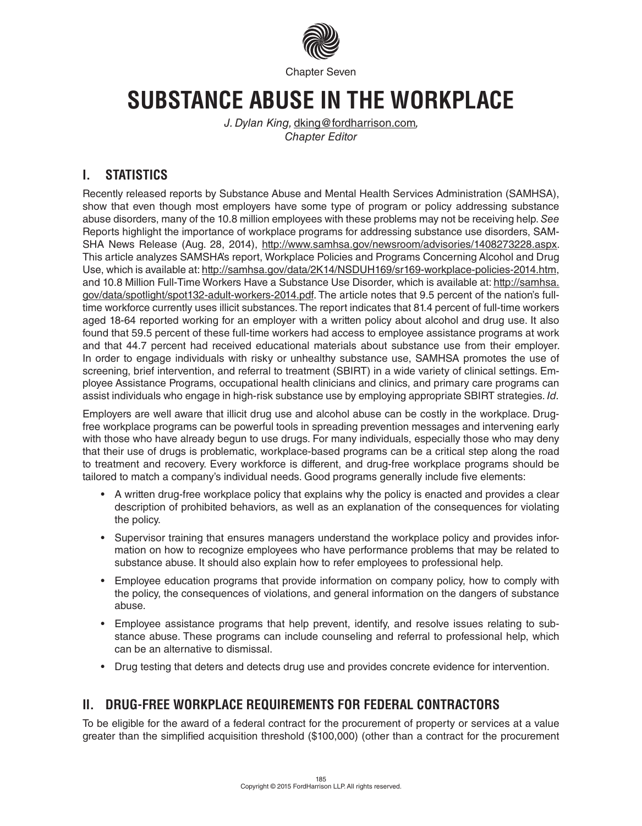

## **SUBSTANCE ABUSE IN THE WORKPLACE**

*J. Dylan King,* dking@fordharrison.com*, Chapter Editor*

## **I. STATISTICS**

Recently released reports by Substance Abuse and Mental Health Services Administration (SAMHSA), show that even though most employers have some type of program or policy addressing substance abuse disorders, many of the 10.8 million employees with these problems may not be receiving help. *See* Reports highlight the importance of workplace programs for addressing substance use disorders, SAM-SHA News Release (Aug. 28, 2014), http://www.samhsa.gov/newsroom/advisories/1408273228.aspx. This article analyzes SAMSHA's report, Workplace Policies and Programs Concerning Alcohol and Drug Use, which is available at: http://samhsa.gov/data/2K14/NSDUH169/sr169-workplace-policies-2014.htm, and 10.8 Million Full-Time Workers Have a Substance Use Disorder, which is available at: http://samhsa. gov/data/spotlight/spot132-adult-workers-2014.pdf. The article notes that 9.5 percent of the nation's fulltime workforce currently uses illicit substances. The report indicates that 81.4 percent of full-time workers aged 18-64 reported working for an employer with a written policy about alcohol and drug use. It also found that 59.5 percent of these full-time workers had access to employee assistance programs at work and that 44.7 percent had received educational materials about substance use from their employer. In order to engage individuals with risky or unhealthy substance use, SAMHSA promotes the use of screening, brief intervention, and referral to treatment (SBIRT) in a wide variety of clinical settings. Employee Assistance Programs, occupational health clinicians and clinics, and primary care programs can assist individuals who engage in high-risk substance use by employing appropriate SBIRT strategies. *Id.*

Employers are well aware that illicit drug use and alcohol abuse can be costly in the workplace. Drugfree workplace programs can be powerful tools in spreading prevention messages and intervening early with those who have already begun to use drugs. For many individuals, especially those who may deny that their use of drugs is problematic, workplace-based programs can be a critical step along the road to treatment and recovery. Every workforce is different, and drug-free workplace programs should be tailored to match a company's individual needs. Good programs generally include five elements:

- A written drug-free workplace policy that explains why the policy is enacted and provides a clear description of prohibited behaviors, as well as an explanation of the consequences for violating the policy.
- Supervisor training that ensures managers understand the workplace policy and provides information on how to recognize employees who have performance problems that may be related to substance abuse. It should also explain how to refer employees to professional help.
- Employee education programs that provide information on company policy, how to comply with the policy, the consequences of violations, and general information on the dangers of substance abuse.
- Employee assistance programs that help prevent, identify, and resolve issues relating to substance abuse. These programs can include counseling and referral to professional help, which can be an alternative to dismissal.
- Drug testing that deters and detects drug use and provides concrete evidence for intervention.

## **II. DRUG-FREE WORKPLACE REQUIREMENTS FOR FEDERAL CONTRACTORS**

To be eligible for the award of a federal contract for the procurement of property or services at a value greater than the simplified acquisition threshold (\$100,000) (other than a contract for the procurement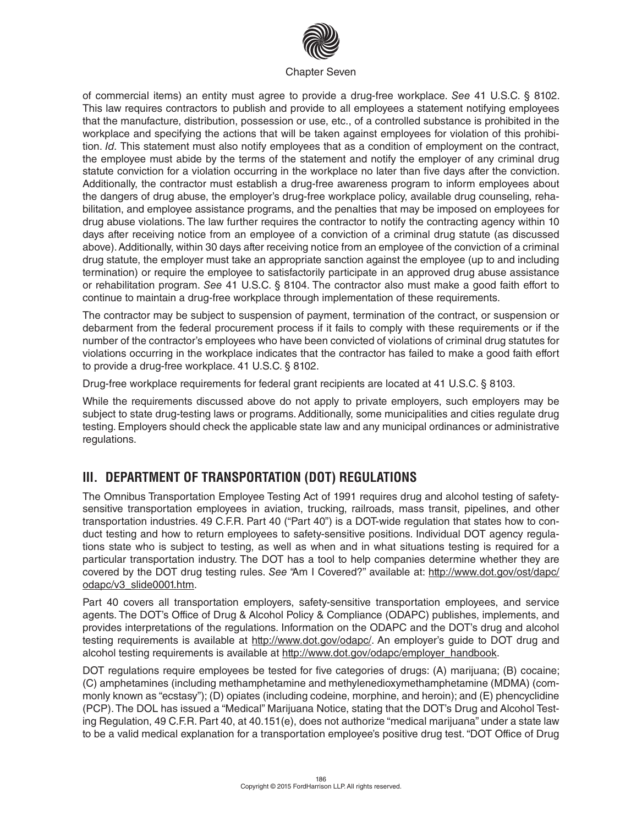

of commercial items) an entity must agree to provide a drug-free workplace. *See* 41 U.S.C. § 8102. This law requires contractors to publish and provide to all employees a statement notifying employees that the manufacture, distribution, possession or use, etc., of a controlled substance is prohibited in the workplace and specifying the actions that will be taken against employees for violation of this prohibition. *Id.* This statement must also notify employees that as a condition of employment on the contract, the employee must abide by the terms of the statement and notify the employer of any criminal drug statute conviction for a violation occurring in the workplace no later than five days after the conviction. Additionally, the contractor must establish a drug-free awareness program to inform employees about the dangers of drug abuse, the employer's drug-free workplace policy, available drug counseling, rehabilitation, and employee assistance programs, and the penalties that may be imposed on employees for drug abuse violations. The law further requires the contractor to notify the contracting agency within 10 days after receiving notice from an employee of a conviction of a criminal drug statute (as discussed above). Additionally, within 30 days after receiving notice from an employee of the conviction of a criminal drug statute, the employer must take an appropriate sanction against the employee (up to and including termination) or require the employee to satisfactorily participate in an approved drug abuse assistance or rehabilitation program. *See* 41 U.S.C. § 8104. The contractor also must make a good faith effort to continue to maintain a drug-free workplace through implementation of these requirements.

The contractor may be subject to suspension of payment, termination of the contract, or suspension or debarment from the federal procurement process if it fails to comply with these requirements or if the number of the contractor's employees who have been convicted of violations of criminal drug statutes for violations occurring in the workplace indicates that the contractor has failed to make a good faith effort to provide a drug-free workplace. 41 U.S.C. § 8102.

Drug-free workplace requirements for federal grant recipients are located at 41 U.S.C. § 8103.

While the requirements discussed above do not apply to private employers, such employers may be subject to state drug-testing laws or programs. Additionally, some municipalities and cities regulate drug testing. Employers should check the applicable state law and any municipal ordinances or administrative regulations.

## **III. DEPARTMENT OF TRANSPORTATION (DOT) REGULATIONS**

The Omnibus Transportation Employee Testing Act of 1991 requires drug and alcohol testing of safetysensitive transportation employees in aviation, trucking, railroads, mass transit, pipelines, and other transportation industries. 49 C.F.R. Part 40 ("Part 40") is a DOT-wide regulation that states how to conduct testing and how to return employees to safety-sensitive positions. Individual DOT agency regulations state who is subject to testing, as well as when and in what situations testing is required for a particular transportation industry. The DOT has a tool to help companies determine whether they are covered by the DOT drug testing rules. *See* "Am I Covered?" available at: http://www.dot.gov/ost/dapc/ odapc/v3\_slide0001.htm.

Part 40 covers all transportation employers, safety-sensitive transportation employees, and service agents. The DOT's Office of Drug & Alcohol Policy & Compliance (ODAPC) publishes, implements, and provides interpretations of the regulations. Information on the ODAPC and the DOT's drug and alcohol testing requirements is available at http://www.dot.gov/odapc/. An employer's guide to DOT drug and alcohol testing requirements is available at http://www.dot.gov/odapc/employer\_handbook.

DOT regulations require employees be tested for five categories of drugs: (A) marijuana; (B) cocaine; (C) amphetamines (including methamphetamine and methylenedioxymethamphetamine (MDMA) (commonly known as "ecstasy"); (D) opiates (including codeine, morphine, and heroin); and (E) phencyclidine (PCP). The DOL has issued a "Medical" Marijuana Notice, stating that the DOT's Drug and Alcohol Testing Regulation, 49 C.F.R. Part 40, at 40.151(e), does not authorize "medical marijuana" under a state law to be a valid medical explanation for a transportation employee's positive drug test. "DOT Office of Drug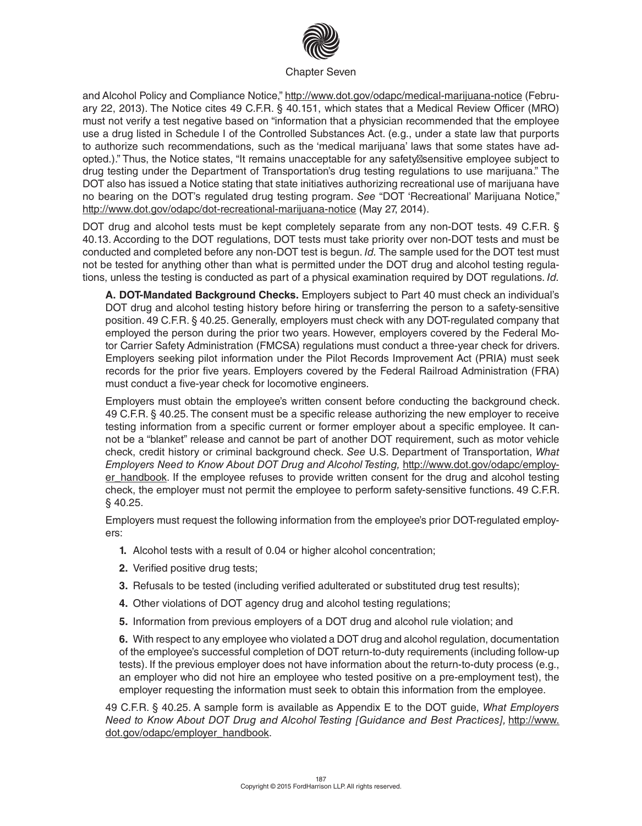

and Alcohol Policy and Compliance Notice," http://www.dot.gov/odapc/medical-marijuana-notice (February 22, 2013). The Notice cites 49 C.F.R. § 40.151, which states that a Medical Review Officer (MRO) must not verify a test negative based on "information that a physician recommended that the employee use a drug listed in Schedule I of the Controlled Substances Act. (e.g., under a state law that purports to authorize such recommendations, such as the 'medical marijuana' laws that some states have adopted.)." Thus, the Notice states, "It remains unacceptable for any safety sensitive employee subject to drug testing under the Department of Transportation's drug testing regulations to use marijuana." The DOT also has issued a Notice stating that state initiatives authorizing recreational use of marijuana have no bearing on the DOT's regulated drug testing program. *See* "DOT 'Recreational' Marijuana Notice," http://www.dot.gov/odapc/dot-recreational-marijuana-notice (May 27, 2014).

DOT drug and alcohol tests must be kept completely separate from any non-DOT tests. 49 C.F.R. § 40.13. According to the DOT regulations, DOT tests must take priority over non-DOT tests and must be conducted and completed before any non-DOT test is begun. *Id.* The sample used for the DOT test must not be tested for anything other than what is permitted under the DOT drug and alcohol testing regulations, unless the testing is conducted as part of a physical examination required by DOT regulations. *Id.*

**A. DOT-Mandated Background Checks.** Employers subject to Part 40 must check an individual's DOT drug and alcohol testing history before hiring or transferring the person to a safety-sensitive position. 49 C.F.R. § 40.25. Generally, employers must check with any DOT-regulated company that employed the person during the prior two years. However, employers covered by the Federal Motor Carrier Safety Administration (FMCSA) regulations must conduct a three-year check for drivers. Employers seeking pilot information under the Pilot Records Improvement Act (PRIA) must seek records for the prior five years. Employers covered by the Federal Railroad Administration (FRA) must conduct a five-year check for locomotive engineers.

Employers must obtain the employee's written consent before conducting the background check. 49 C.F.R. § 40.25. The consent must be a specific release authorizing the new employer to receive testing information from a specific current or former employer about a specific employee. It cannot be a "blanket" release and cannot be part of another DOT requirement, such as motor vehicle check, credit history or criminal background check. *See* U.S. Department of Transportation, *What Employers Need to Know About DOT Drug and Alcohol Testing,* http://www.dot.gov/odapc/employer\_handbook. If the employee refuses to provide written consent for the drug and alcohol testing check, the employer must not permit the employee to perform safety-sensitive functions. 49 C.F.R. § 40.25.

Employers must request the following information from the employee's prior DOT-regulated employers:

- **1.** Alcohol tests with a result of 0.04 or higher alcohol concentration;
- **2.** Verified positive drug tests;
- **3.** Refusals to be tested (including verified adulterated or substituted drug test results);
- **4.** Other violations of DOT agency drug and alcohol testing regulations;
- **5.** Information from previous employers of a DOT drug and alcohol rule violation; and

**6.** With respect to any employee who violated a DOT drug and alcohol regulation, documentation of the employee's successful completion of DOT return-to-duty requirements (including follow-up tests). If the previous employer does not have information about the return-to-duty process (e.g., an employer who did not hire an employee who tested positive on a pre-employment test), the employer requesting the information must seek to obtain this information from the employee.

49 C.F.R. § 40.25. A sample form is available as Appendix E to the DOT guide, *What Employers Need to Know About DOT Drug and Alcohol Testing [Guidance and Best Practices],* http://www. dot.gov/odapc/employer\_handbook.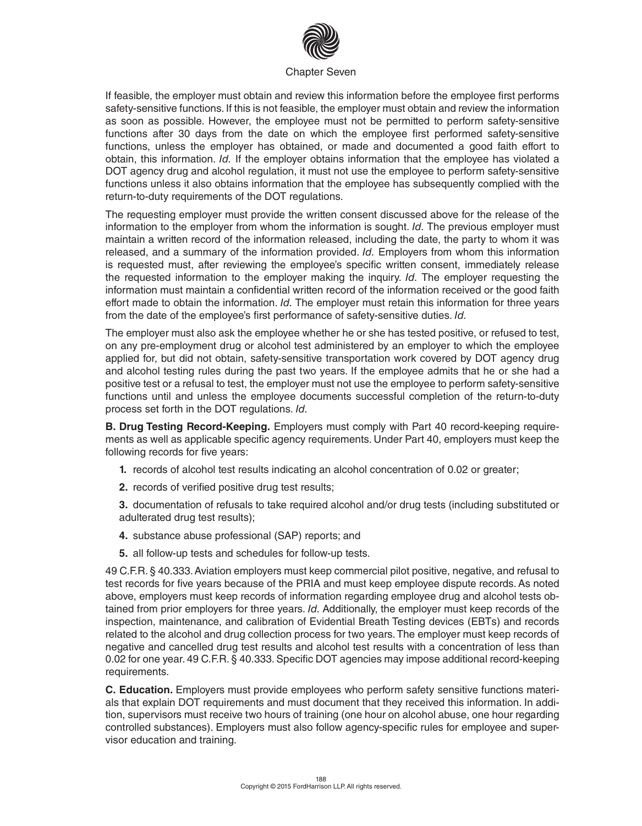

If feasible, the employer must obtain and review this information before the employee first performs safety-sensitive functions. If this is not feasible, the employer must obtain and review the information as soon as possible. However, the employee must not be permitted to perform safety-sensitive functions after 30 days from the date on which the employee first performed safety-sensitive functions, unless the employer has obtained, or made and documented a good faith effort to obtain, this information. *Id.* If the employer obtains information that the employee has violated a DOT agency drug and alcohol regulation, it must not use the employee to perform safety-sensitive functions unless it also obtains information that the employee has subsequently complied with the return-to-duty requirements of the DOT regulations.

The requesting employer must provide the written consent discussed above for the release of the information to the employer from whom the information is sought. *Id.* The previous employer must maintain a written record of the information released, including the date, the party to whom it was released, and a summary of the information provided. *Id.* Employers from whom this information is requested must, after reviewing the employee's specific written consent, immediately release the requested information to the employer making the inquiry. *Id.* The employer requesting the information must maintain a confidential written record of the information received or the good faith effort made to obtain the information. *Id.* The employer must retain this information for three years from the date of the employee's first performance of safety-sensitive duties. *Id.*

The employer must also ask the employee whether he or she has tested positive, or refused to test, on any pre-employment drug or alcohol test administered by an employer to which the employee applied for, but did not obtain, safety-sensitive transportation work covered by DOT agency drug and alcohol testing rules during the past two years. If the employee admits that he or she had a positive test or a refusal to test, the employer must not use the employee to perform safety-sensitive functions until and unless the employee documents successful completion of the return-to-duty process set forth in the DOT regulations. *Id.*

**B. Drug Testing Record-Keeping.** Employers must comply with Part 40 record-keeping requirements as well as applicable specific agency requirements. Under Part 40, employers must keep the following records for five years:

- **1.** records of alcohol test results indicating an alcohol concentration of 0.02 or greater;
- **2.** records of verified positive drug test results;

**3.** documentation of refusals to take required alcohol and/or drug tests (including substituted or adulterated drug test results);

- **4.** substance abuse professional (SAP) reports; and
- **5.** all follow-up tests and schedules for follow-up tests.

49 C.F.R. § 40.333. Aviation employers must keep commercial pilot positive, negative, and refusal to test records for five years because of the PRIA and must keep employee dispute records. As noted above, employers must keep records of information regarding employee drug and alcohol tests obtained from prior employers for three years. *Id.* Additionally, the employer must keep records of the inspection, maintenance, and calibration of Evidential Breath Testing devices (EBTs) and records related to the alcohol and drug collection process for two years. The employer must keep records of negative and cancelled drug test results and alcohol test results with a concentration of less than 0.02 for one year. 49 C.F.R. § 40.333. Specific DOT agencies may impose additional record-keeping requirements.

**C. Education.** Employers must provide employees who perform safety sensitive functions materials that explain DOT requirements and must document that they received this information. In addition, supervisors must receive two hours of training (one hour on alcohol abuse, one hour regarding controlled substances). Employers must also follow agency-specific rules for employee and supervisor education and training.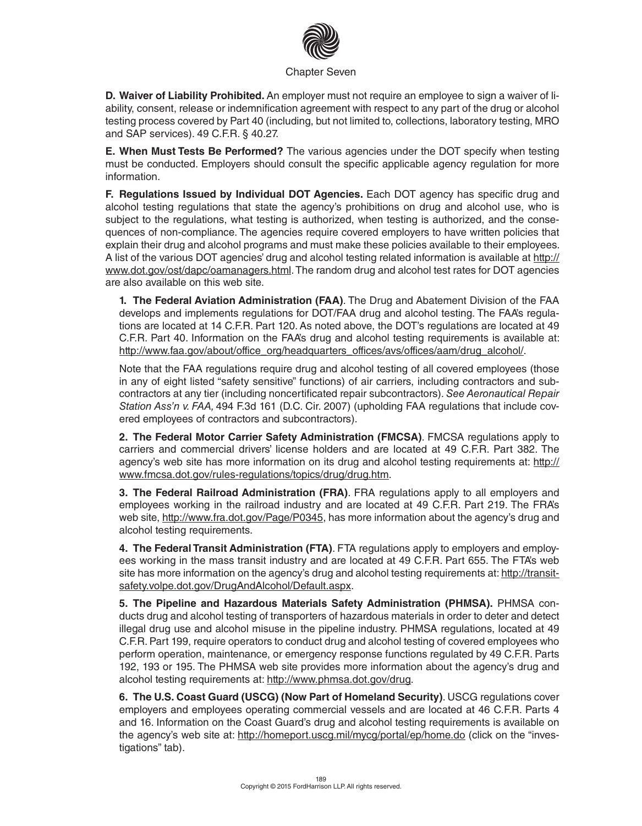

**D. Waiver of Liability Prohibited.** An employer must not require an employee to sign a waiver of liability, consent, release or indemnification agreement with respect to any part of the drug or alcohol testing process covered by Part 40 (including, but not limited to, collections, laboratory testing, MRO and SAP services). 49 C.F.R. § 40.27.

**E. When Must Tests Be Performed?** The various agencies under the DOT specify when testing must be conducted. Employers should consult the specific applicable agency regulation for more information.

**F. Regulations Issued by Individual DOT Agencies.** Each DOT agency has specific drug and alcohol testing regulations that state the agency's prohibitions on drug and alcohol use, who is subject to the regulations, what testing is authorized, when testing is authorized, and the consequences of non-compliance. The agencies require covered employers to have written policies that explain their drug and alcohol programs and must make these policies available to their employees. A list of the various DOT agencies' drug and alcohol testing related information is available at http:// www.dot.gov/ost/dapc/oamanagers.html. The random drug and alcohol test rates for DOT agencies are also available on this web site.

**1. The Federal Aviation Administration (FAA)**. The Drug and Abatement Division of the FAA develops and implements regulations for DOT/FAA drug and alcohol testing. The FAA's regulations are located at 14 C.F.R. Part 120. As noted above, the DOT's regulations are located at 49 C.F.R. Part 40. Information on the FAA's drug and alcohol testing requirements is available at: http://www.faa.gov/about/office\_org/headquarters\_offices/avs/offices/aam/drug\_alcohol/.

Note that the FAA regulations require drug and alcohol testing of all covered employees (those in any of eight listed "safety sensitive" functions) of air carriers, including contractors and subcontractors at any tier (including noncertificated repair subcontractors). *See Aeronautical Repair Station Ass'n v. FAA,* 494 F.3d 161 (D.C. Cir. 2007) (upholding FAA regulations that include covered employees of contractors and subcontractors).

**2. The Federal Motor Carrier Safety Administration (FMCSA)**. FMCSA regulations apply to carriers and commercial drivers' license holders and are located at 49 C.F.R. Part 382. The agency's web site has more information on its drug and alcohol testing requirements at: http:// www.fmcsa.dot.gov/rules-regulations/topics/drug/drug.htm.

**3. The Federal Railroad Administration (FRA)**. FRA regulations apply to all employers and employees working in the railroad industry and are located at 49 C.F.R. Part 219. The FRA's web site, http://www.fra.dot.gov/Page/P0345, has more information about the agency's drug and alcohol testing requirements.

**4. The Federal Transit Administration (FTA)**. FTA regulations apply to employers and employees working in the mass transit industry and are located at 49 C.F.R. Part 655. The FTA's web site has more information on the agency's drug and alcohol testing requirements at: http://transitsafety.volpe.dot.gov/DrugAndAlcohol/Default.aspx.

**5. The Pipeline and Hazardous Materials Safety Administration (PHMSA).** PHMSA conducts drug and alcohol testing of transporters of hazardous materials in order to deter and detect illegal drug use and alcohol misuse in the pipeline industry. PHMSA regulations, located at 49 C.F.R. Part 199, require operators to conduct drug and alcohol testing of covered employees who perform operation, maintenance, or emergency response functions regulated by 49 C.F.R. Parts 192, 193 or 195. The PHMSA web site provides more information about the agency's drug and alcohol testing requirements at: http://www.phmsa.dot.gov/drug.

**6. The U.S. Coast Guard (USCG) (Now Part of Homeland Security)**. USCG regulations cover employers and employees operating commercial vessels and are located at 46 C.F.R. Parts 4 and 16. Information on the Coast Guard's drug and alcohol testing requirements is available on the agency's web site at: http://homeport.uscg.mil/mycg/portal/ep/home.do (click on the "investigations" tab).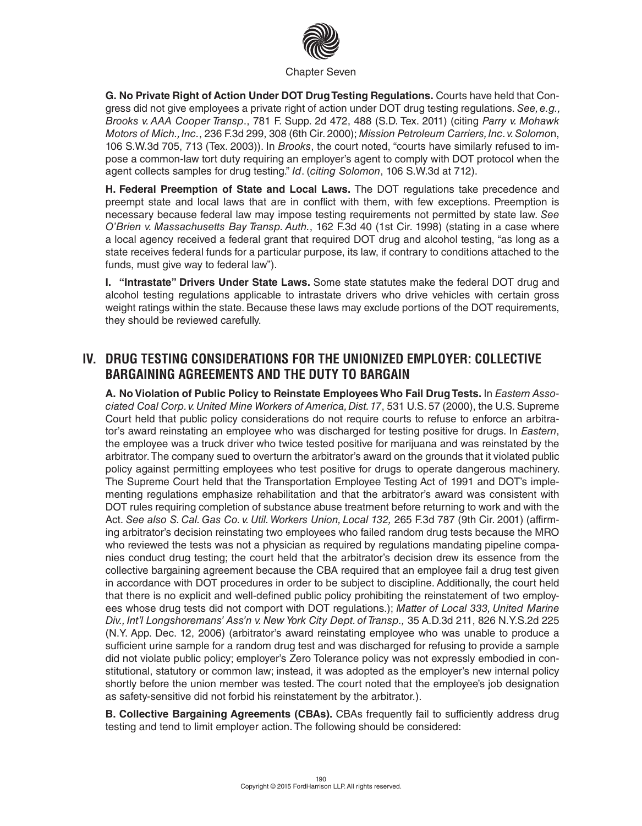

**G. No Private Right of Action Under DOT Drug Testing Regulations.** Courts have held that Congress did not give employees a private right of action under DOT drug testing regulations. *See, e.g., Brooks v. AAA Cooper Transp*., 781 F. Supp. 2d 472, 488 (S.D. Tex. 2011) (citing *Parry v. Mohawk Motors of Mich., Inc.*, 236 F.3d 299, 308 (6th Cir. 2000); *Mission Petroleum Carriers, Inc. v. Solomo*n, 106 S.W.3d 705, 713 (Tex. 2003)). In *Brooks*, the court noted, "courts have similarly refused to impose a common-law tort duty requiring an employer's agent to comply with DOT protocol when the agent collects samples for drug testing." *Id*. (*citing Solomon*, 106 S.W.3d at 712).

**H. Federal Preemption of State and Local Laws.** The DOT regulations take precedence and preempt state and local laws that are in conflict with them, with few exceptions. Preemption is necessary because federal law may impose testing requirements not permitted by state law. *See O'Brien v. Massachusetts Bay Transp. Auth.*, 162 F.3d 40 (1st Cir. 1998) (stating in a case where a local agency received a federal grant that required DOT drug and alcohol testing, "as long as a state receives federal funds for a particular purpose, its law, if contrary to conditions attached to the funds, must give way to federal law").

**I. "Intrastate" Drivers Under State Laws.** Some state statutes make the federal DOT drug and alcohol testing regulations applicable to intrastate drivers who drive vehicles with certain gross weight ratings within the state. Because these laws may exclude portions of the DOT requirements, they should be reviewed carefully.

## **IV. DRUG TESTING CONSIDERATIONS FOR THE UNIONIZED EMPLOYER: COLLECTIVE BARGAINING AGREEMENTS AND THE DUTY TO BARGAIN**

**A. No Violation of Public Policy to Reinstate Employees Who Fail Drug Tests.** In *Eastern Associated Coal Corp. v. United Mine Workers of America, Dist. 17*, 531 U.S. 57 (2000), the U.S. Supreme Court held that public policy considerations do not require courts to refuse to enforce an arbitrator's award reinstating an employee who was discharged for testing positive for drugs. In *Eastern*, the employee was a truck driver who twice tested positive for marijuana and was reinstated by the arbitrator. The company sued to overturn the arbitrator's award on the grounds that it violated public policy against permitting employees who test positive for drugs to operate dangerous machinery. The Supreme Court held that the Transportation Employee Testing Act of 1991 and DOT's implementing regulations emphasize rehabilitation and that the arbitrator's award was consistent with DOT rules requiring completion of substance abuse treatment before returning to work and with the Act. *See also S. Cal. Gas Co. v. Util. Workers Union, Local 132,* 265 F.3d 787 (9th Cir. 2001) (affirming arbitrator's decision reinstating two employees who failed random drug tests because the MRO who reviewed the tests was not a physician as required by regulations mandating pipeline companies conduct drug testing; the court held that the arbitrator's decision drew its essence from the collective bargaining agreement because the CBA required that an employee fail a drug test given in accordance with DOT procedures in order to be subject to discipline. Additionally, the court held that there is no explicit and well-defined public policy prohibiting the reinstatement of two employees whose drug tests did not comport with DOT regulations.); *Matter of Local 333, United Marine Div., Int'l Longshoremans' Ass'n v. New York City Dept. of Transp.,* 35 A.D.3d 211, 826 N.Y.S.2d 225 (N.Y. App. Dec. 12, 2006) (arbitrator's award reinstating employee who was unable to produce a sufficient urine sample for a random drug test and was discharged for refusing to provide a sample did not violate public policy; employer's Zero Tolerance policy was not expressly embodied in constitutional, statutory or common law; instead, it was adopted as the employer's new internal policy shortly before the union member was tested. The court noted that the employee's job designation as safety-sensitive did not forbid his reinstatement by the arbitrator.).

**B. Collective Bargaining Agreements (CBAs).** CBAs frequently fail to sufficiently address drug testing and tend to limit employer action. The following should be considered: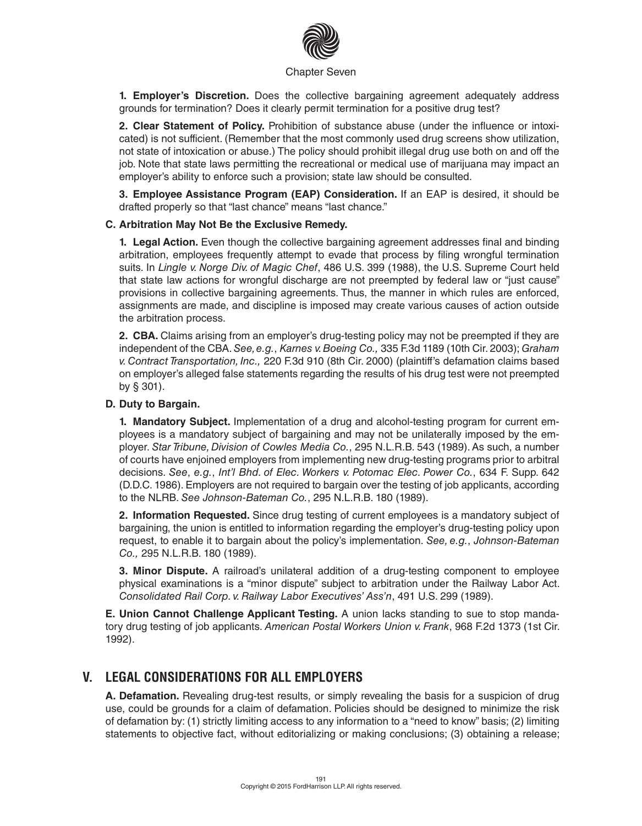

**1. Employer's Discretion.** Does the collective bargaining agreement adequately address grounds for termination? Does it clearly permit termination for a positive drug test?

**2. Clear Statement of Policy.** Prohibition of substance abuse (under the influence or intoxicated) is not sufficient. (Remember that the most commonly used drug screens show utilization, not state of intoxication or abuse.) The policy should prohibit illegal drug use both on and off the job. Note that state laws permitting the recreational or medical use of marijuana may impact an employer's ability to enforce such a provision; state law should be consulted.

**3. Employee Assistance Program (EAP) Consideration.** If an EAP is desired, it should be drafted properly so that "last chance" means "last chance."

#### **C. Arbitration May Not Be the Exclusive Remedy.**

**1. Legal Action.** Even though the collective bargaining agreement addresses final and binding arbitration, employees frequently attempt to evade that process by filing wrongful termination suits. In *Lingle v. Norge Div. of Magic Chef*, 486 U.S. 399 (1988), the U.S. Supreme Court held that state law actions for wrongful discharge are not preempted by federal law or "just cause" provisions in collective bargaining agreements. Thus, the manner in which rules are enforced, assignments are made, and discipline is imposed may create various causes of action outside the arbitration process.

**2. CBA.** Claims arising from an employer's drug-testing policy may not be preempted if they are independent of the CBA. *See, e.g.*, *Karnes v. Boeing Co.,* 335 F.3d 1189 (10th Cir. 2003); *Graham v. Contract Transportation, Inc.,* 220 F.3d 910 (8th Cir. 2000) (plaintiff's defamation claims based on employer's alleged false statements regarding the results of his drug test were not preempted by § 301).

#### **D. Duty to Bargain.**

**1. Mandatory Subject.** Implementation of a drug and alcohol-testing program for current employees is a mandatory subject of bargaining and may not be unilaterally imposed by the employer. *Star Tribune, Division of Cowles Media Co.*, 295 N.L.R.B. 543 (1989). As such, a number of courts have enjoined employers from implementing new drug-testing programs prior to arbitral decisions. *See*, *e.g.*, *Int'l Bhd. of Elec. Workers v. Potomac Elec. Power Co.*, 634 F. Supp. 642 (D.D.C. 1986). Employers are not required to bargain over the testing of job applicants, according to the NLRB. *See Johnson-Bateman Co.*, 295 N.L.R.B. 180 (1989).

**2. Information Requested.** Since drug testing of current employees is a mandatory subject of bargaining, the union is entitled to information regarding the employer's drug-testing policy upon request, to enable it to bargain about the policy's implementation. *See, e.g.*, *Johnson-Bateman Co.,* 295 N.L.R.B. 180 (1989).

**3. Minor Dispute.** A railroad's unilateral addition of a drug-testing component to employee physical examinations is a "minor dispute" subject to arbitration under the Railway Labor Act. *Consolidated Rail Corp. v. Railway Labor Executives' Ass'n*, 491 U.S. 299 (1989).

**E. Union Cannot Challenge Applicant Testing.** A union lacks standing to sue to stop mandatory drug testing of job applicants. *American Postal Workers Union v. Frank*, 968 F.2d 1373 (1st Cir. 1992).

### **V. LEGAL CONSIDERATIONS FOR ALL EMPLOYERS**

**A. Defamation.** Revealing drug-test results, or simply revealing the basis for a suspicion of drug use, could be grounds for a claim of defamation. Policies should be designed to minimize the risk of defamation by: (1) strictly limiting access to any information to a "need to know" basis; (2) limiting statements to objective fact, without editorializing or making conclusions; (3) obtaining a release;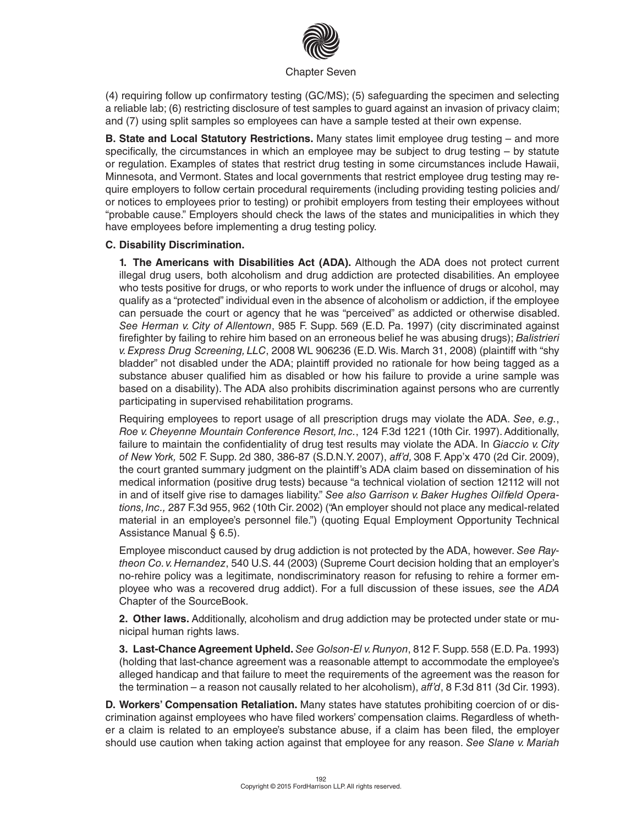

(4) requiring follow up confirmatory testing (GC/MS); (5) safeguarding the specimen and selecting a reliable lab; (6) restricting disclosure of test samples to guard against an invasion of privacy claim; and (7) using split samples so employees can have a sample tested at their own expense.

**B. State and Local Statutory Restrictions.** Many states limit employee drug testing – and more specifically, the circumstances in which an employee may be subject to drug testing – by statute or regulation. Examples of states that restrict drug testing in some circumstances include Hawaii, Minnesota, and Vermont. States and local governments that restrict employee drug testing may require employers to follow certain procedural requirements (including providing testing policies and/ or notices to employees prior to testing) or prohibit employers from testing their employees without "probable cause." Employers should check the laws of the states and municipalities in which they have employees before implementing a drug testing policy.

#### **C. Disability Discrimination.**

**1. The Americans with Disabilities Act (ADA).** Although the ADA does not protect current illegal drug users, both alcoholism and drug addiction are protected disabilities. An employee who tests positive for drugs, or who reports to work under the influence of drugs or alcohol, may qualify as a "protected" individual even in the absence of alcoholism or addiction, if the employee can persuade the court or agency that he was "perceived" as addicted or otherwise disabled. *See Herman v. City of Allentown*, 985 F. Supp. 569 (E.D. Pa. 1997) (city discriminated against firefighter by failing to rehire him based on an erroneous belief he was abusing drugs); *Balistrieri v. Express Drug Screening, LLC*, 2008 WL 906236 (E.D. Wis. March 31, 2008) (plaintiff with "shy bladder" not disabled under the ADA; plaintiff provided no rationale for how being tagged as a substance abuser qualified him as disabled or how his failure to provide a urine sample was based on a disability). The ADA also prohibits discrimination against persons who are currently participating in supervised rehabilitation programs.

Requiring employees to report usage of all prescription drugs may violate the ADA. *See*, *e.g.*, *Roe v. Cheyenne Mountain Conference Resort, Inc.*, 124 F.3d 1221 (10th Cir. 1997). Additionally, failure to maintain the confidentiality of drug test results may violate the ADA. In *Giaccio v. City of New York,* 502 F. Supp. 2d 380, 386-87 (S.D.N.Y. 2007), *aff'd,* 308 F. App'x 470 (2d Cir. 2009), the court granted summary judgment on the plaintiff's ADA claim based on dissemination of his medical information (positive drug tests) because "a technical violation of section 12112 will not in and of itself give rise to damages liability." *See also Garrison v. Baker Hughes Oilfield Operations, Inc.,* 287 F.3d 955, 962 (10th Cir. 2002) ("An employer should not place any medical-related material in an employee's personnel file.") (quoting Equal Employment Opportunity Technical Assistance Manual § 6.5).

Employee misconduct caused by drug addiction is not protected by the ADA, however. *See Raytheon Co. v. Hernandez*, 540 U.S. 44 (2003) (Supreme Court decision holding that an employer's no-rehire policy was a legitimate, nondiscriminatory reason for refusing to rehire a former employee who was a recovered drug addict). For a full discussion of these issues, *see* the *ADA* Chapter of the SourceBook.

**2. Other laws.** Additionally, alcoholism and drug addiction may be protected under state or municipal human rights laws.

**3. Last-Chance Agreement Upheld.** *See Golson-El v. Runyon*, 812 F. Supp. 558 (E.D. Pa. 1993) (holding that last-chance agreement was a reasonable attempt to accommodate the employee's alleged handicap and that failure to meet the requirements of the agreement was the reason for the termination – a reason not causally related to her alcoholism), *aff'd*, 8 F.3d 811 (3d Cir. 1993).

**D. Workers' Compensation Retaliation.** Many states have statutes prohibiting coercion of or discrimination against employees who have filed workers' compensation claims. Regardless of whether a claim is related to an employee's substance abuse, if a claim has been filed, the employer should use caution when taking action against that employee for any reason. *See Slane v. Mariah*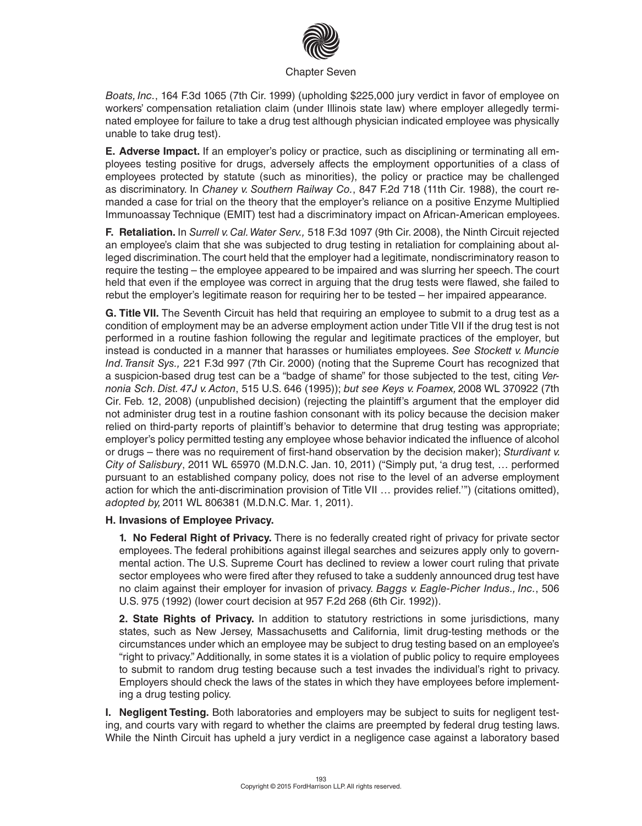

*Boats, Inc.*, 164 F.3d 1065 (7th Cir. 1999) (upholding \$225,000 jury verdict in favor of employee on workers' compensation retaliation claim (under Illinois state law) where employer allegedly terminated employee for failure to take a drug test although physician indicated employee was physically unable to take drug test).

**E. Adverse Impact.** If an employer's policy or practice, such as disciplining or terminating all employees testing positive for drugs, adversely affects the employment opportunities of a class of employees protected by statute (such as minorities), the policy or practice may be challenged as discriminatory. In *Chaney v. Southern Railway Co.*, 847 F.2d 718 (11th Cir. 1988), the court remanded a case for trial on the theory that the employer's reliance on a positive Enzyme Multiplied Immunoassay Technique (EMIT) test had a discriminatory impact on African-American employees.

**F. Retaliation.** In *Surrell v. Cal. Water Serv.,* 518 F.3d 1097 (9th Cir. 2008), the Ninth Circuit rejected an employee's claim that she was subjected to drug testing in retaliation for complaining about alleged discrimination. The court held that the employer had a legitimate, nondiscriminatory reason to require the testing – the employee appeared to be impaired and was slurring her speech. The court held that even if the employee was correct in arguing that the drug tests were flawed, she failed to rebut the employer's legitimate reason for requiring her to be tested – her impaired appearance.

**G. Title VII.** The Seventh Circuit has held that requiring an employee to submit to a drug test as a condition of employment may be an adverse employment action under Title VII if the drug test is not performed in a routine fashion following the regular and legitimate practices of the employer, but instead is conducted in a manner that harasses or humiliates employees. *See Stockett v. Muncie Ind. Transit Sys.,* 221 F.3d 997 (7th Cir. 2000) (noting that the Supreme Court has recognized that a suspicion-based drug test can be a "badge of shame" for those subjected to the test, citing *Vernonia Sch. Dist. 47J v. Acton*, 515 U.S. 646 (1995)); *but see Keys v. Foamex,* 2008 WL 370922 (7th Cir. Feb. 12, 2008) (unpublished decision) (rejecting the plaintiff's argument that the employer did not administer drug test in a routine fashion consonant with its policy because the decision maker relied on third-party reports of plaintiff's behavior to determine that drug testing was appropriate; employer's policy permitted testing any employee whose behavior indicated the influence of alcohol or drugs – there was no requirement of first-hand observation by the decision maker); *Sturdivant v. City of Salisbury*, 2011 WL 65970 (M.D.N.C. Jan. 10, 2011) ("Simply put, 'a drug test, … performed pursuant to an established company policy, does not rise to the level of an adverse employment action for which the anti-discrimination provision of Title VII … provides relief.'") (citations omitted), *adopted by,* 2011 WL 806381 (M.D.N.C. Mar. 1, 2011).

#### **H. Invasions of Employee Privacy.**

**1. No Federal Right of Privacy.** There is no federally created right of privacy for private sector employees. The federal prohibitions against illegal searches and seizures apply only to governmental action. The U.S. Supreme Court has declined to review a lower court ruling that private sector employees who were fired after they refused to take a suddenly announced drug test have no claim against their employer for invasion of privacy. *Baggs v. Eagle-Picher Indus., Inc.*, 506 U.S. 975 (1992) (lower court decision at 957 F.2d 268 (6th Cir. 1992)).

**2. State Rights of Privacy.** In addition to statutory restrictions in some jurisdictions, many states, such as New Jersey, Massachusetts and California, limit drug-testing methods or the circumstances under which an employee may be subject to drug testing based on an employee's "right to privacy." Additionally, in some states it is a violation of public policy to require employees to submit to random drug testing because such a test invades the individual's right to privacy. Employers should check the laws of the states in which they have employees before implementing a drug testing policy.

**I. Negligent Testing.** Both laboratories and employers may be subject to suits for negligent testing, and courts vary with regard to whether the claims are preempted by federal drug testing laws. While the Ninth Circuit has upheld a jury verdict in a negligence case against a laboratory based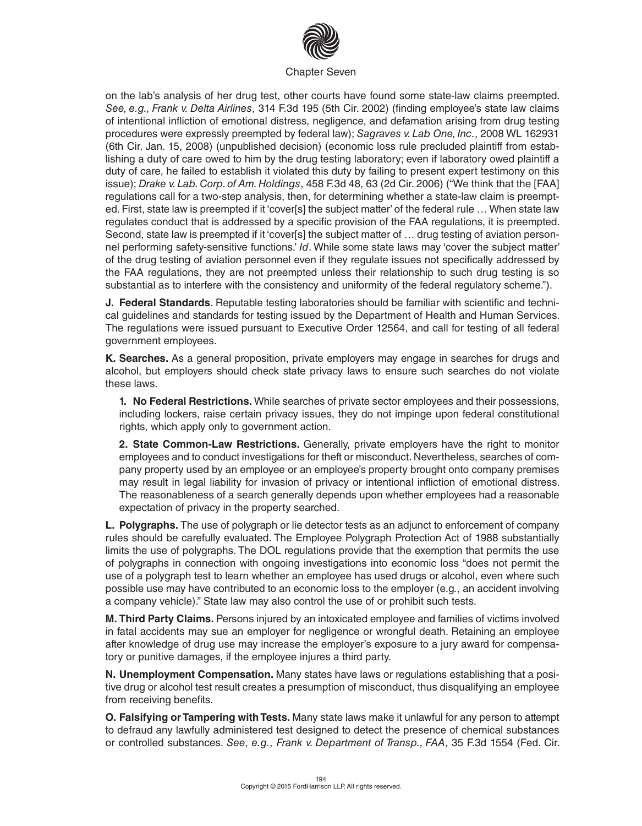

on the lab's analysis of her drug test, other courts have found some state-law claims preempted. *See, e.g., Frank v. Delta Airlines*, 314 F.3d 195 (5th Cir. 2002) (finding employee's state law claims of intentional infliction of emotional distress, negligence, and defamation arising from drug testing procedures were expressly preempted by federal law); *Sagraves v. Lab One, Inc.*, 2008 WL 162931 (6th Cir. Jan. 15, 2008) (unpublished decision) (economic loss rule precluded plaintiff from establishing a duty of care owed to him by the drug testing laboratory; even if laboratory owed plaintiff a duty of care, he failed to establish it violated this duty by failing to present expert testimony on this issue); *Drake v. Lab. Corp. of Am. Holdings*, 458 F.3d 48, 63 (2d Cir. 2006) ("We think that the [FAA] regulations call for a two-step analysis, then, for determining whether a state-law claim is preempted. First, state law is preempted if it 'cover[s] the subject matter' of the federal rule … When state law regulates conduct that is addressed by a specific provision of the FAA regulations, it is preempted. Second, state law is preempted if it 'cover[s] the subject matter of ... drug testing of aviation personnel performing safety-sensitive functions.' *Id*. While some state laws may 'cover the subject matter' of the drug testing of aviation personnel even if they regulate issues not specifically addressed by the FAA regulations, they are not preempted unless their relationship to such drug testing is so substantial as to interfere with the consistency and uniformity of the federal regulatory scheme.").

**J. Federal Standards**. Reputable testing laboratories should be familiar with scientific and technical guidelines and standards for testing issued by the Department of Health and Human Services. The regulations were issued pursuant to Executive Order 12564, and call for testing of all federal government employees.

**K. Searches.** As a general proposition, private employers may engage in searches for drugs and alcohol, but employers should check state privacy laws to ensure such searches do not violate these laws.

**1. No Federal Restrictions.** While searches of private sector employees and their possessions, including lockers, raise certain privacy issues, they do not impinge upon federal constitutional rights, which apply only to government action.

**2. State Common-Law Restrictions.** Generally, private employers have the right to monitor employees and to conduct investigations for theft or misconduct. Nevertheless, searches of company property used by an employee or an employee's property brought onto company premises may result in legal liability for invasion of privacy or intentional infliction of emotional distress. The reasonableness of a search generally depends upon whether employees had a reasonable expectation of privacy in the property searched.

**L. Polygraphs.** The use of polygraph or lie detector tests as an adjunct to enforcement of company rules should be carefully evaluated. The Employee Polygraph Protection Act of 1988 substantially limits the use of polygraphs. The DOL regulations provide that the exemption that permits the use of polygraphs in connection with ongoing investigations into economic loss "does not permit the use of a polygraph test to learn whether an employee has used drugs or alcohol, even where such possible use may have contributed to an economic loss to the employer (e.g*.*, an accident involving a company vehicle)." State law may also control the use of or prohibit such tests.

**M. Third Party Claims.** Persons injured by an intoxicated employee and families of victims involved in fatal accidents may sue an employer for negligence or wrongful death. Retaining an employee after knowledge of drug use may increase the employer's exposure to a jury award for compensatory or punitive damages, if the employee injures a third party.

**N. Unemployment Compensation.** Many states have laws or regulations establishing that a positive drug or alcohol test result creates a presumption of misconduct, thus disqualifying an employee from receiving benefits.

**O. Falsifying or Tampering with Tests.** Many state laws make it unlawful for any person to attempt to defraud any lawfully administered test designed to detect the presence of chemical substances or controlled substances. *See*, *e.g.*, *Frank v. Department of Transp., FAA*, 35 F.3d 1554 (Fed. Cir.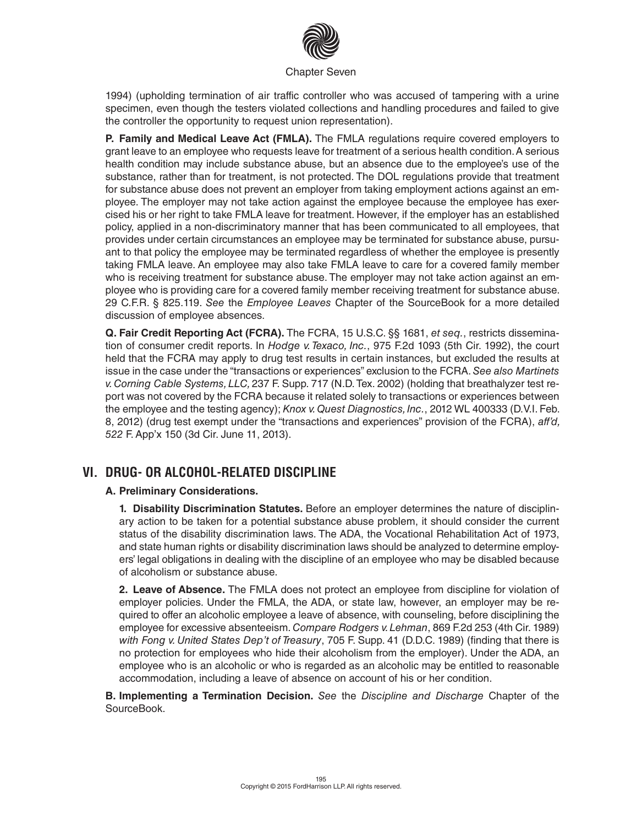

1994) (upholding termination of air traffic controller who was accused of tampering with a urine specimen, even though the testers violated collections and handling procedures and failed to give the controller the opportunity to request union representation).

**P. Family and Medical Leave Act (FMLA).** The FMLA regulations require covered employers to grant leave to an employee who requests leave for treatment of a serious health condition. A serious health condition may include substance abuse, but an absence due to the employee's use of the substance, rather than for treatment, is not protected. The DOL regulations provide that treatment for substance abuse does not prevent an employer from taking employment actions against an employee. The employer may not take action against the employee because the employee has exercised his or her right to take FMLA leave for treatment. However, if the employer has an established policy, applied in a non-discriminatory manner that has been communicated to all employees, that provides under certain circumstances an employee may be terminated for substance abuse, pursuant to that policy the employee may be terminated regardless of whether the employee is presently taking FMLA leave. An employee may also take FMLA leave to care for a covered family member who is receiving treatment for substance abuse. The employer may not take action against an employee who is providing care for a covered family member receiving treatment for substance abuse. 29 C.F.R. § 825.119. *See* the *Employee Leaves* Chapter of the SourceBook for a more detailed discussion of employee absences.

**Q. Fair Credit Reporting Act (FCRA).** The FCRA, 15 U.S.C. §§ 1681, *et seq.*, restricts dissemination of consumer credit reports. In *Hodge v. Texaco, Inc.*, 975 F.2d 1093 (5th Cir. 1992), the court held that the FCRA may apply to drug test results in certain instances, but excluded the results at issue in the case under the "transactions or experiences" exclusion to the FCRA. *See also Martinets v. Corning Cable Systems, LLC,* 237 F. Supp. 717 (N.D. Tex. 2002) (holding that breathalyzer test report was not covered by the FCRA because it related solely to transactions or experiences between the employee and the testing agency); *Knox v. Quest Diagnostics, Inc.*, 2012 WL 400333 (D.V.I. Feb. 8, 2012) (drug test exempt under the "transactions and experiences" provision of the FCRA), *aff'd, 522* F. App'x 150 (3d Cir. June 11, 2013).

## **VI. DRUG- OR ALCOHOL-RELATED DISCIPLINE**

#### **A. Preliminary Considerations.**

**1. Disability Discrimination Statutes.** Before an employer determines the nature of disciplinary action to be taken for a potential substance abuse problem, it should consider the current status of the disability discrimination laws. The ADA, the Vocational Rehabilitation Act of 1973, and state human rights or disability discrimination laws should be analyzed to determine employers' legal obligations in dealing with the discipline of an employee who may be disabled because of alcoholism or substance abuse.

**2. Leave of Absence.** The FMLA does not protect an employee from discipline for violation of employer policies. Under the FMLA, the ADA, or state law, however, an employer may be required to offer an alcoholic employee a leave of absence, with counseling, before disciplining the employee for excessive absenteeism. *Compare Rodgers v. Lehman*, 869 F.2d 253 (4th Cir. 1989) *with Fong v. United States Dep't of Treasury*, 705 F. Supp. 41 (D.D.C. 1989) (finding that there is no protection for employees who hide their alcoholism from the employer). Under the ADA, an employee who is an alcoholic or who is regarded as an alcoholic may be entitled to reasonable accommodation, including a leave of absence on account of his or her condition.

**B. Implementing a Termination Decision.** *See* the *Discipline and Discharge* Chapter of the SourceBook.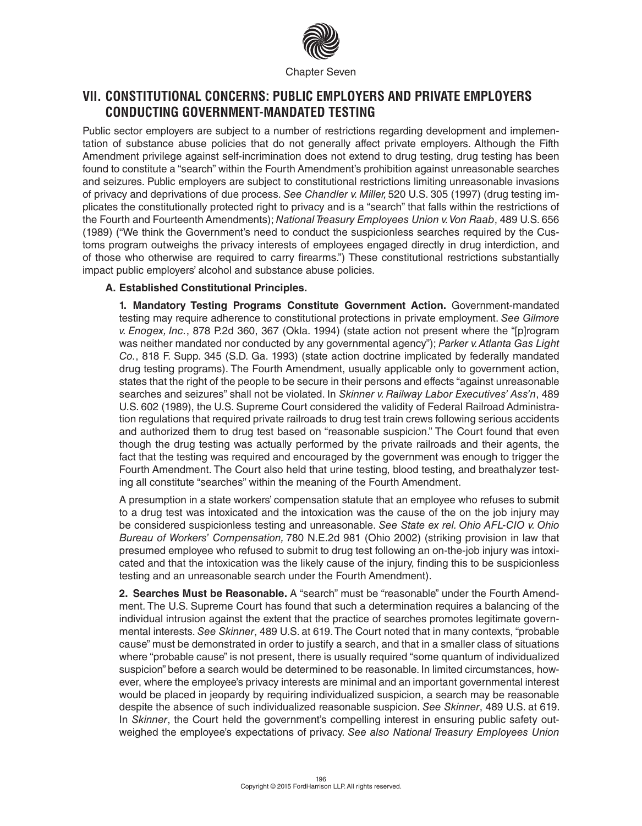

## **VII. CONSTITUTIONAL CONCERNS: PUBLIC EMPLOYERS AND PRIVATE EMPLOYERS CONDUCTING GOVERNMENT-MANDATED TESTING**

Public sector employers are subject to a number of restrictions regarding development and implementation of substance abuse policies that do not generally affect private employers. Although the Fifth Amendment privilege against self-incrimination does not extend to drug testing, drug testing has been found to constitute a "search" within the Fourth Amendment's prohibition against unreasonable searches and seizures. Public employers are subject to constitutional restrictions limiting unreasonable invasions of privacy and deprivations of due process. *See Chandler v. Miller,* 520 U.S. 305 (1997) (drug testing implicates the constitutionally protected right to privacy and is a "search" that falls within the restrictions of the Fourth and Fourteenth Amendments); *National Treasury Employees Union v. Von Raab*, 489 U.S. 656 (1989) ("We think the Government's need to conduct the suspicionless searches required by the Customs program outweighs the privacy interests of employees engaged directly in drug interdiction, and of those who otherwise are required to carry firearms.") These constitutional restrictions substantially impact public employers' alcohol and substance abuse policies.

#### **A. Established Constitutional Principles.**

**1. Mandatory Testing Programs Constitute Government Action.** Government-mandated testing may require adherence to constitutional protections in private employment. *See Gilmore v. Enogex, Inc.*, 878 P.2d 360, 367 (Okla. 1994) (state action not present where the "[p]rogram was neither mandated nor conducted by any governmental agency"); *Parker v. Atlanta Gas Light Co.*, 818 F. Supp. 345 (S.D. Ga. 1993) (state action doctrine implicated by federally mandated drug testing programs). The Fourth Amendment, usually applicable only to government action, states that the right of the people to be secure in their persons and effects "against unreasonable searches and seizures" shall not be violated. In *Skinner v. Railway Labor Executives' Ass'n*, 489 U.S. 602 (1989), the U.S. Supreme Court considered the validity of Federal Railroad Administration regulations that required private railroads to drug test train crews following serious accidents and authorized them to drug test based on "reasonable suspicion." The Court found that even though the drug testing was actually performed by the private railroads and their agents, the fact that the testing was required and encouraged by the government was enough to trigger the Fourth Amendment. The Court also held that urine testing, blood testing, and breathalyzer testing all constitute "searches" within the meaning of the Fourth Amendment.

A presumption in a state workers' compensation statute that an employee who refuses to submit to a drug test was intoxicated and the intoxication was the cause of the on the job injury may be considered suspicionless testing and unreasonable. *See State ex rel. Ohio AFL-CIO v. Ohio Bureau of Workers' Compensation,* 780 N.E.2d 981 (Ohio 2002) (striking provision in law that presumed employee who refused to submit to drug test following an on-the-job injury was intoxicated and that the intoxication was the likely cause of the injury, finding this to be suspicionless testing and an unreasonable search under the Fourth Amendment).

**2. Searches Must be Reasonable.** A "search" must be "reasonable" under the Fourth Amendment. The U.S. Supreme Court has found that such a determination requires a balancing of the individual intrusion against the extent that the practice of searches promotes legitimate governmental interests. *See Skinner*, 489 U.S. at 619. The Court noted that in many contexts, "probable cause" must be demonstrated in order to justify a search, and that in a smaller class of situations where "probable cause" is not present, there is usually required "some quantum of individualized suspicion" before a search would be determined to be reasonable. In limited circumstances, however, where the employee's privacy interests are minimal and an important governmental interest would be placed in jeopardy by requiring individualized suspicion, a search may be reasonable despite the absence of such individualized reasonable suspicion. *See Skinner*, 489 U.S. at 619. In *Skinner*, the Court held the government's compelling interest in ensuring public safety outweighed the employee's expectations of privacy. *See also National Treasury Employees Union*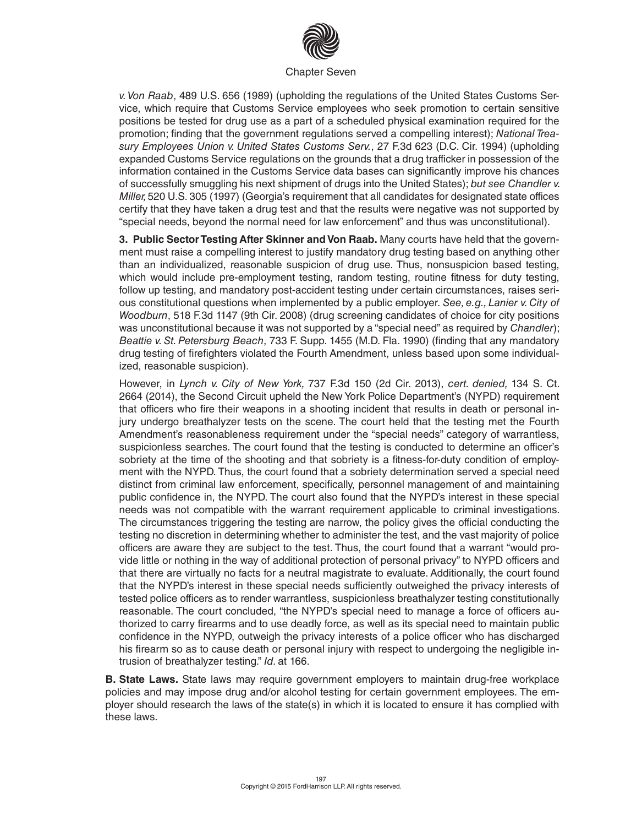

*v. Von Raab*, 489 U.S. 656 (1989) (upholding the regulations of the United States Customs Service, which require that Customs Service employees who seek promotion to certain sensitive positions be tested for drug use as a part of a scheduled physical examination required for the promotion; finding that the government regulations served a compelling interest); *National Treasury Employees Union v. United States Customs Serv.*, 27 F.3d 623 (D.C. Cir. 1994) (upholding expanded Customs Service regulations on the grounds that a drug trafficker in possession of the information contained in the Customs Service data bases can significantly improve his chances of successfully smuggling his next shipment of drugs into the United States); *but see Chandler v. Miller,* 520 U.S. 305 (1997) (Georgia's requirement that all candidates for designated state offices certify that they have taken a drug test and that the results were negative was not supported by "special needs, beyond the normal need for law enforcement" and thus was unconstitutional).

**3. Public Sector Testing After Skinner and Von Raab.** Many courts have held that the government must raise a compelling interest to justify mandatory drug testing based on anything other than an individualized, reasonable suspicion of drug use. Thus, nonsuspicion based testing, which would include pre-employment testing, random testing, routine fitness for duty testing, follow up testing, and mandatory post-accident testing under certain circumstances, raises serious constitutional questions when implemented by a public employer. *See, e.g., Lanier v. City of Woodburn*, 518 F.3d 1147 (9th Cir. 2008) (drug screening candidates of choice for city positions was unconstitutional because it was not supported by a "special need" as required by *Chandler*); *Beattie v. St. Petersburg Beach*, 733 F. Supp. 1455 (M.D. Fla. 1990) (finding that any mandatory drug testing of firefighters violated the Fourth Amendment, unless based upon some individualized, reasonable suspicion).

However, in *Lynch v. City of New York,* 737 F.3d 150 (2d Cir. 2013), *cert. denied,* 134 S. Ct. 2664 (2014), the Second Circuit upheld the New York Police Department's (NYPD) requirement that officers who fire their weapons in a shooting incident that results in death or personal injury undergo breathalyzer tests on the scene. The court held that the testing met the Fourth Amendment's reasonableness requirement under the "special needs" category of warrantless, suspicionless searches. The court found that the testing is conducted to determine an officer's sobriety at the time of the shooting and that sobriety is a fitness-for-duty condition of employment with the NYPD. Thus, the court found that a sobriety determination served a special need distinct from criminal law enforcement, specifically, personnel management of and maintaining public confidence in, the NYPD. The court also found that the NYPD's interest in these special needs was not compatible with the warrant requirement applicable to criminal investigations. The circumstances triggering the testing are narrow, the policy gives the official conducting the testing no discretion in determining whether to administer the test, and the vast majority of police officers are aware they are subject to the test. Thus, the court found that a warrant "would provide little or nothing in the way of additional protection of personal privacy" to NYPD officers and that there are virtually no facts for a neutral magistrate to evaluate. Additionally, the court found that the NYPD's interest in these special needs sufficiently outweighed the privacy interests of tested police officers as to render warrantless, suspicionless breathalyzer testing constitutionally reasonable. The court concluded, "the NYPD's special need to manage a force of officers authorized to carry firearms and to use deadly force, as well as its special need to maintain public confidence in the NYPD, outweigh the privacy interests of a police officer who has discharged his firearm so as to cause death or personal injury with respect to undergoing the negligible intrusion of breathalyzer testing." *Id.* at 166.

**B. State Laws.** State laws may require government employers to maintain drug-free workplace policies and may impose drug and/or alcohol testing for certain government employees. The employer should research the laws of the state(s) in which it is located to ensure it has complied with these laws.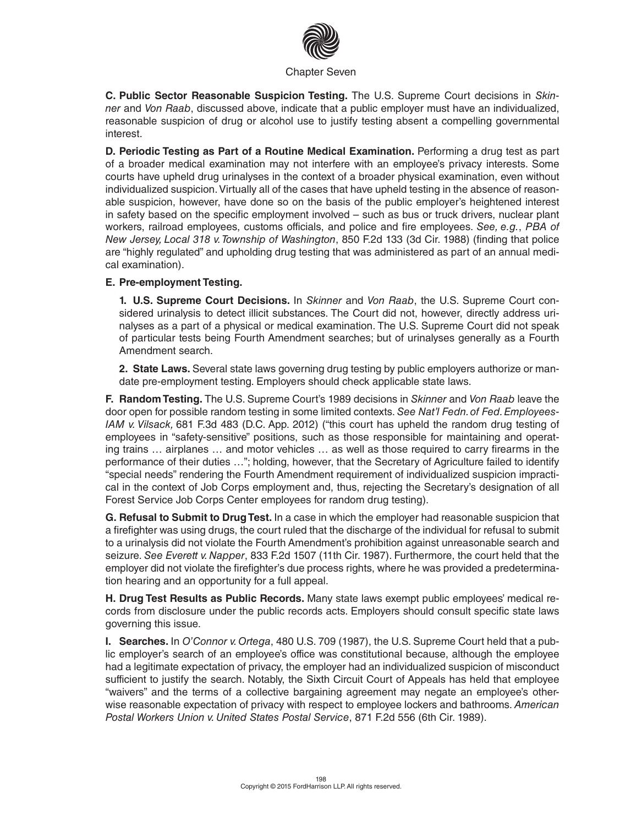

**C. Public Sector Reasonable Suspicion Testing.** The U.S. Supreme Court decisions in *Skinner* and *Von Raab*, discussed above, indicate that a public employer must have an individualized, reasonable suspicion of drug or alcohol use to justify testing absent a compelling governmental interest.

**D. Periodic Testing as Part of a Routine Medical Examination.** Performing a drug test as part of a broader medical examination may not interfere with an employee's privacy interests. Some courts have upheld drug urinalyses in the context of a broader physical examination, even without individualized suspicion. Virtually all of the cases that have upheld testing in the absence of reasonable suspicion, however, have done so on the basis of the public employer's heightened interest in safety based on the specific employment involved – such as bus or truck drivers, nuclear plant workers, railroad employees, customs officials, and police and fire employees. *See, e.g.*, *PBA of New Jersey, Local 318 v. Township of Washington*, 850 F.2d 133 (3d Cir. 1988) (finding that police are "highly regulated" and upholding drug testing that was administered as part of an annual medical examination).

#### **E. Pre-employment Testing.**

**1. U.S. Supreme Court Decisions.** In *Skinner* and *Von Raab*, the U.S. Supreme Court considered urinalysis to detect illicit substances. The Court did not, however, directly address urinalyses as a part of a physical or medical examination. The U.S. Supreme Court did not speak of particular tests being Fourth Amendment searches; but of urinalyses generally as a Fourth Amendment search.

**2. State Laws.** Several state laws governing drug testing by public employers authorize or mandate pre-employment testing. Employers should check applicable state laws.

**F. Random Testing.** The U.S. Supreme Court's 1989 decisions in *Skinner* and *Von Raab* leave the door open for possible random testing in some limited contexts. *See Nat'l Fedn. of Fed. Employees-IAM v. Vilsack,* 681 F.3d 483 (D.C. App. 2012) ("this court has upheld the random drug testing of employees in "safety-sensitive" positions, such as those responsible for maintaining and operating trains … airplanes … and motor vehicles … as well as those required to carry firearms in the performance of their duties …"; holding, however, that the Secretary of Agriculture failed to identify "special needs" rendering the Fourth Amendment requirement of individualized suspicion impractical in the context of Job Corps employment and, thus, rejecting the Secretary's designation of all Forest Service Job Corps Center employees for random drug testing).

**G. Refusal to Submit to Drug Test.** In a case in which the employer had reasonable suspicion that a firefighter was using drugs, the court ruled that the discharge of the individual for refusal to submit to a urinalysis did not violate the Fourth Amendment's prohibition against unreasonable search and seizure. *See Everett v. Napper*, 833 F.2d 1507 (11th Cir. 1987). Furthermore, the court held that the employer did not violate the firefighter's due process rights, where he was provided a predetermination hearing and an opportunity for a full appeal.

**H. Drug Test Results as Public Records.** Many state laws exempt public employees' medical records from disclosure under the public records acts. Employers should consult specific state laws governing this issue.

**I. Searches.** In *O'Connor v. Ortega*, 480 U.S. 709 (1987), the U.S. Supreme Court held that a public employer's search of an employee's office was constitutional because, although the employee had a legitimate expectation of privacy, the employer had an individualized suspicion of misconduct sufficient to justify the search. Notably, the Sixth Circuit Court of Appeals has held that employee "waivers" and the terms of a collective bargaining agreement may negate an employee's otherwise reasonable expectation of privacy with respect to employee lockers and bathrooms. *American Postal Workers Union v. United States Postal Service*, 871 F.2d 556 (6th Cir. 1989).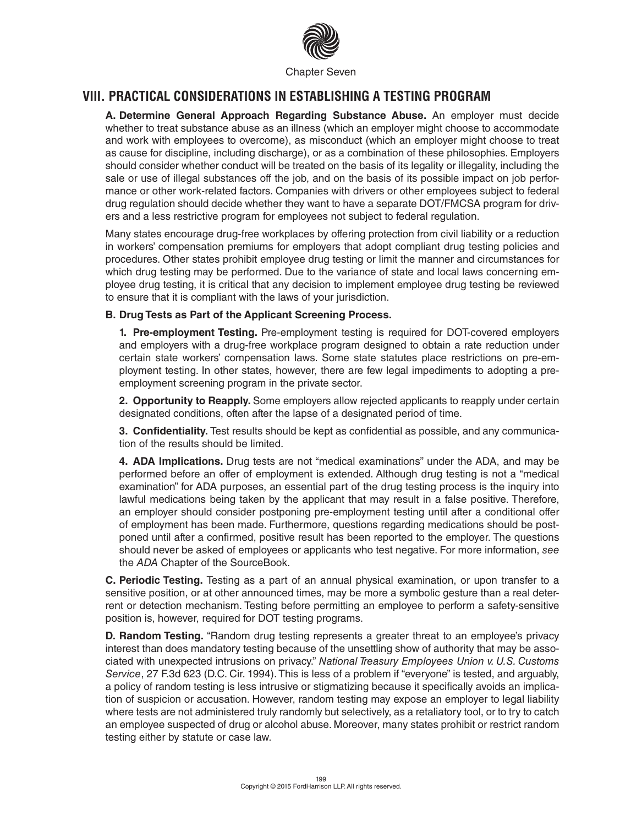

### **VIII. PRACTICAL CONSIDERATIONS IN ESTABLISHING A TESTING PROGRAM**

**A. Determine General Approach Regarding Substance Abuse.** An employer must decide whether to treat substance abuse as an illness (which an employer might choose to accommodate and work with employees to overcome), as misconduct (which an employer might choose to treat as cause for discipline, including discharge), or as a combination of these philosophies. Employers should consider whether conduct will be treated on the basis of its legality or illegality, including the sale or use of illegal substances off the job, and on the basis of its possible impact on job performance or other work-related factors. Companies with drivers or other employees subject to federal drug regulation should decide whether they want to have a separate DOT/FMCSA program for drivers and a less restrictive program for employees not subject to federal regulation.

Many states encourage drug-free workplaces by offering protection from civil liability or a reduction in workers' compensation premiums for employers that adopt compliant drug testing policies and procedures. Other states prohibit employee drug testing or limit the manner and circumstances for which drug testing may be performed. Due to the variance of state and local laws concerning employee drug testing, it is critical that any decision to implement employee drug testing be reviewed to ensure that it is compliant with the laws of your jurisdiction.

#### **B. Drug Tests as Part of the Applicant Screening Process.**

**1. Pre-employment Testing.** Pre-employment testing is required for DOT-covered employers and employers with a drug-free workplace program designed to obtain a rate reduction under certain state workers' compensation laws. Some state statutes place restrictions on pre-employment testing. In other states, however, there are few legal impediments to adopting a preemployment screening program in the private sector.

**2. Opportunity to Reapply.** Some employers allow rejected applicants to reapply under certain designated conditions, often after the lapse of a designated period of time.

**3. Confidentiality.** Test results should be kept as confidential as possible, and any communication of the results should be limited.

**4. ADA Implications.** Drug tests are not "medical examinations" under the ADA, and may be performed before an offer of employment is extended. Although drug testing is not a "medical examination" for ADA purposes, an essential part of the drug testing process is the inquiry into lawful medications being taken by the applicant that may result in a false positive. Therefore, an employer should consider postponing pre-employment testing until after a conditional offer of employment has been made. Furthermore, questions regarding medications should be postponed until after a confirmed, positive result has been reported to the employer. The questions should never be asked of employees or applicants who test negative. For more information, *see* the *ADA* Chapter of the SourceBook.

**C. Periodic Testing.** Testing as a part of an annual physical examination, or upon transfer to a sensitive position, or at other announced times, may be more a symbolic gesture than a real deterrent or detection mechanism. Testing before permitting an employee to perform a safety-sensitive position is, however, required for DOT testing programs.

**D. Random Testing.** "Random drug testing represents a greater threat to an employee's privacy interest than does mandatory testing because of the unsettling show of authority that may be associated with unexpected intrusions on privacy." *National Treasury Employees Union v. U.S. Customs Service*, 27 F.3d 623 (D.C. Cir. 1994). This is less of a problem if "everyone" is tested, and arguably, a policy of random testing is less intrusive or stigmatizing because it specifically avoids an implication of suspicion or accusation. However, random testing may expose an employer to legal liability where tests are not administered truly randomly but selectively, as a retaliatory tool, or to try to catch an employee suspected of drug or alcohol abuse. Moreover, many states prohibit or restrict random testing either by statute or case law.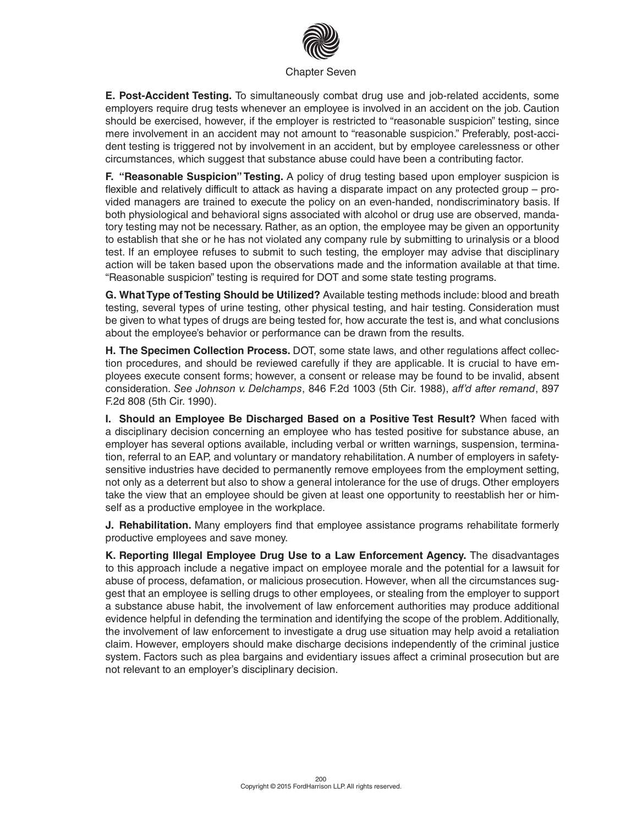

**E. Post-Accident Testing.** To simultaneously combat drug use and job-related accidents, some employers require drug tests whenever an employee is involved in an accident on the job. Caution should be exercised, however, if the employer is restricted to "reasonable suspicion" testing, since mere involvement in an accident may not amount to "reasonable suspicion." Preferably, post-accident testing is triggered not by involvement in an accident, but by employee carelessness or other circumstances, which suggest that substance abuse could have been a contributing factor.

**F. "Reasonable Suspicion" Testing.** A policy of drug testing based upon employer suspicion is flexible and relatively difficult to attack as having a disparate impact on any protected group – provided managers are trained to execute the policy on an even-handed, nondiscriminatory basis. If both physiological and behavioral signs associated with alcohol or drug use are observed, mandatory testing may not be necessary. Rather, as an option, the employee may be given an opportunity to establish that she or he has not violated any company rule by submitting to urinalysis or a blood test. If an employee refuses to submit to such testing, the employer may advise that disciplinary action will be taken based upon the observations made and the information available at that time. "Reasonable suspicion" testing is required for DOT and some state testing programs.

**G. What Type of Testing Should be Utilized?** Available testing methods include: blood and breath testing, several types of urine testing, other physical testing, and hair testing. Consideration must be given to what types of drugs are being tested for, how accurate the test is, and what conclusions about the employee's behavior or performance can be drawn from the results.

**H. The Specimen Collection Process.** DOT, some state laws, and other regulations affect collection procedures, and should be reviewed carefully if they are applicable. It is crucial to have employees execute consent forms; however, a consent or release may be found to be invalid, absent consideration. *See Johnson v. Delchamps*, 846 F.2d 1003 (5th Cir. 1988), *aff'd after remand*, 897 F.2d 808 (5th Cir. 1990).

**I. Should an Employee Be Discharged Based on a Positive Test Result?** When faced with a disciplinary decision concerning an employee who has tested positive for substance abuse, an employer has several options available, including verbal or written warnings, suspension, termination, referral to an EAP, and voluntary or mandatory rehabilitation. A number of employers in safetysensitive industries have decided to permanently remove employees from the employment setting, not only as a deterrent but also to show a general intolerance for the use of drugs. Other employers take the view that an employee should be given at least one opportunity to reestablish her or himself as a productive employee in the workplace.

**J. Rehabilitation.** Many employers find that employee assistance programs rehabilitate formerly productive employees and save money.

**K. Reporting Illegal Employee Drug Use to a Law Enforcement Agency.** The disadvantages to this approach include a negative impact on employee morale and the potential for a lawsuit for abuse of process, defamation, or malicious prosecution. However, when all the circumstances suggest that an employee is selling drugs to other employees, or stealing from the employer to support a substance abuse habit, the involvement of law enforcement authorities may produce additional evidence helpful in defending the termination and identifying the scope of the problem. Additionally, the involvement of law enforcement to investigate a drug use situation may help avoid a retaliation claim. However, employers should make discharge decisions independently of the criminal justice system. Factors such as plea bargains and evidentiary issues affect a criminal prosecution but are not relevant to an employer's disciplinary decision.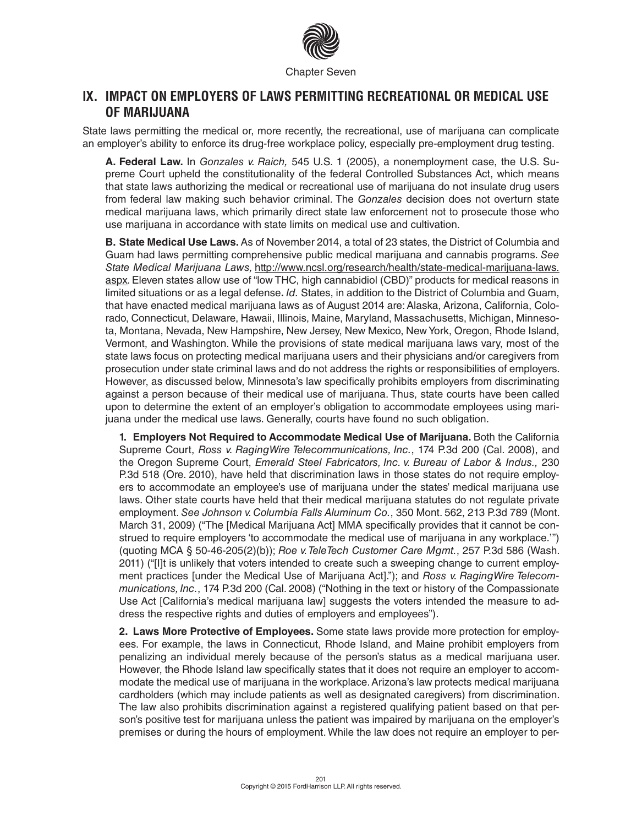

### **IX. IMPACT ON EMPLOYERS OF LAWS PERMITTING RECREATIONAL OR MEDICAL USE OF MARIJUANA**

State laws permitting the medical or, more recently, the recreational, use of marijuana can complicate an employer's ability to enforce its drug-free workplace policy, especially pre-employment drug testing.

**A. Federal Law.** In *Gonzales v. Raich,* 545 U.S. 1 (2005), a nonemployment case, the U.S. Supreme Court upheld the constitutionality of the federal Controlled Substances Act, which means that state laws authorizing the medical or recreational use of marijuana do not insulate drug users from federal law making such behavior criminal. The *Gonzales* decision does not overturn state medical marijuana laws, which primarily direct state law enforcement not to prosecute those who use marijuana in accordance with state limits on medical use and cultivation.

**B. State Medical Use Laws.** As of November 2014, a total of 23 states, the District of Columbia and Guam had laws permitting comprehensive public medical marijuana and cannabis programs. *See State Medical Marijuana Laws,* http://www.ncsl.org/research/health/state-medical-marijuana-laws. aspx*.* Eleven states allow use of "low THC, high cannabidiol (CBD)" products for medical reasons in limited situations or as a legal defense**.** *Id.* States, in addition to the District of Columbia and Guam, that have enacted medical marijuana laws as of August 2014 are: Alaska, Arizona, California, Colorado, Connecticut, Delaware, Hawaii, Illinois, Maine, Maryland, Massachusetts, Michigan, Minnesota, Montana, Nevada, New Hampshire, New Jersey, New Mexico, New York, Oregon, Rhode Island, Vermont, and Washington. While the provisions of state medical marijuana laws vary, most of the state laws focus on protecting medical marijuana users and their physicians and/or caregivers from prosecution under state criminal laws and do not address the rights or responsibilities of employers. However, as discussed below, Minnesota's law specifically prohibits employers from discriminating against a person because of their medical use of marijuana. Thus, state courts have been called upon to determine the extent of an employer's obligation to accommodate employees using marijuana under the medical use laws. Generally, courts have found no such obligation.

**1. Employers Not Required to Accommodate Medical Use of Marijuana.** Both the California Supreme Court, *Ross v. RagingWire Telecommunications, Inc.*, 174 P.3d 200 (Cal. 2008), and the Oregon Supreme Court, *Emerald Steel Fabricators, Inc. v. Bureau of Labor & Indus.,* 230 P.3d 518 (Ore. 2010), have held that discrimination laws in those states do not require employers to accommodate an employee's use of marijuana under the states' medical marijuana use laws. Other state courts have held that their medical marijuana statutes do not regulate private employment. *See Johnson v. Columbia Falls Aluminum Co.*, 350 Mont. 562, 213 P.3d 789 (Mont. March 31, 2009) ("The [Medical Marijuana Act] MMA specifically provides that it cannot be construed to require employers 'to accommodate the medical use of marijuana in any workplace.'") (quoting MCA § 50-46-205(2)(b)); *Roe v. TeleTech Customer Care Mgmt.*, 257 P.3d 586 (Wash. 2011) ("[I]t is unlikely that voters intended to create such a sweeping change to current employment practices [under the Medical Use of Marijuana Act]."); and *Ross v. RagingWire Telecommunications, Inc.*, 174 P.3d 200 (Cal. 2008) ("Nothing in the text or history of the Compassionate Use Act [California's medical marijuana law] suggests the voters intended the measure to address the respective rights and duties of employers and employees").

**2. Laws More Protective of Employees.** Some state laws provide more protection for employees. For example, the laws in Connecticut, Rhode Island, and Maine prohibit employers from penalizing an individual merely because of the person's status as a medical marijuana user. However, the Rhode Island law specifically states that it does not require an employer to accommodate the medical use of marijuana in the workplace. Arizona's law protects medical marijuana cardholders (which may include patients as well as designated caregivers) from discrimination. The law also prohibits discrimination against a registered qualifying patient based on that person's positive test for marijuana unless the patient was impaired by marijuana on the employer's premises or during the hours of employment. While the law does not require an employer to per-